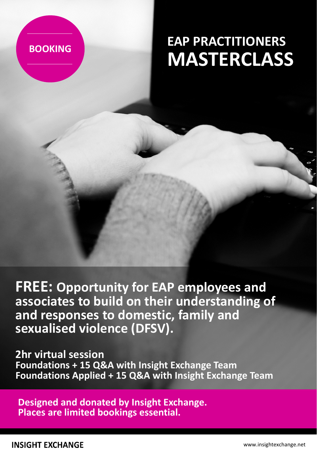## **BOOKING**

# **EAP PRACTITIONERS MASTERCLASS**

**FREE: Opportunity for EAP employees and associates to build on their understanding of and responses to domestic, family and sexualised violence (DFSV).** 

**2hr virtual session Foundations + 15 Q&A with Insight Exchange Team Foundations Applied + 15 Q&A with Insight Exchange Team**

**Designed and donated by Insight Exchange. Places are limited bookings essential.**

**INSIGHT EXCHANGE**